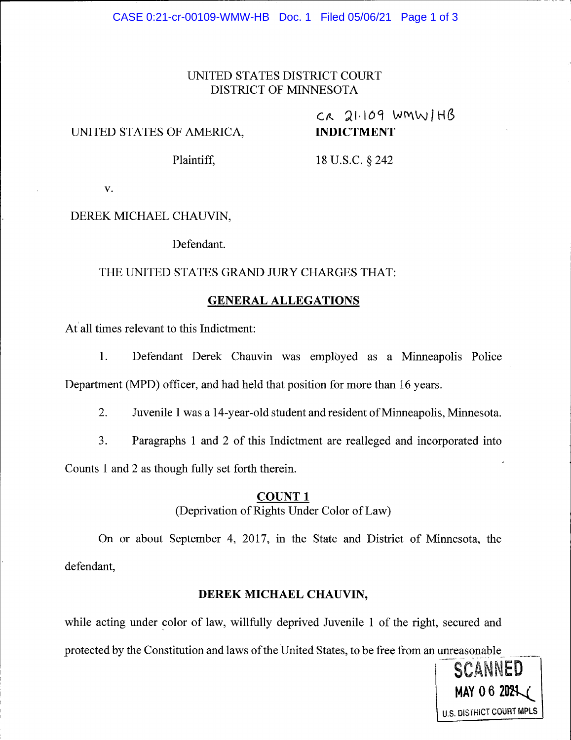# UNITED STATES DISTRICT COURT DISTRICT OF MINNESOTA

### UNITED STATES OF AMERICA.

# $c_{\text{A}}$  21.109 wmwiHB INDICTMENT

Plaintiff, 18 U.S.C. § 242

V.

## DEREK MICHAEL CHAUVIN,

Defendant.

#### THE UNITED STATES GRAND JURY CHARGES THAT:

#### GENERAL ALLEGATIONS

At all times relevant to this Indictment:

1. Defendant Derek Chauvin was emplbyed as a Minneapolis Police Department (MPD) officer, and had held that position for more than 16 years.

2. Juvenile 1 was a 14-year-old student and resident of Minneapolis, Minnesota.

3. Paragraphs I and 2 of this Indictment are realleged and incorporated into

Counts 1 and 2 as though fully set forth therein.

#### COUNT <sup>1</sup>

(Deprivation of Rights Under Color of Law)

On or about September 4, 2017, in the State and District of Minnesota, the defendant,

#### DEREK MICHAEL CHAUVIN,

while acting under color of law, willfully deprived Juvenile I of the right, secured and protected by the Constitution and laws of the United States, to be free from an unreasonable

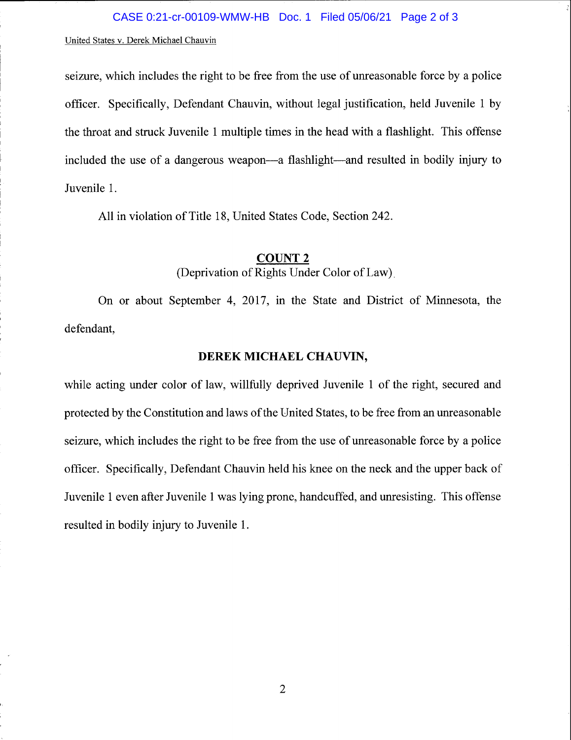#### United States v. Derek Michael Chauvin

seizure, which includes the right to be free from the use of unreasonable force by a police officer. Specifically, Defendant Chauvin, without legal justification, held Juvenile I by the throat and struck Juvenile 1 multiple times in the head with a flashlight. This offense included the use of a dangerous weapon—a flashlight—and resulted in bodily injury to Juvenile 1.

All in violation of Title 18, United States Code, Section 242.

#### COUNT 2

(Deprivation of Rights Under Color of Law)

On or about September 4, 2017, in the State and District of Minnesota, the defendant,

#### DEREK MICHAEL CHAUVIN,

while acting under color of law, willfully deprived Juvenile 1 of the right, secured and protected by the Constitution and laws of the United States, to be free from an unreasonable seizure, which includes the right to be free from the use of unreasonable force by a police officer. Specifically, Defendant Chauvin held his knee on the neck and the upper back of Juvenile 1 even after Juvenile I was lying prone, handcuffed, and unresisting. This offense resulted in bodily injury to Juvenile 1.